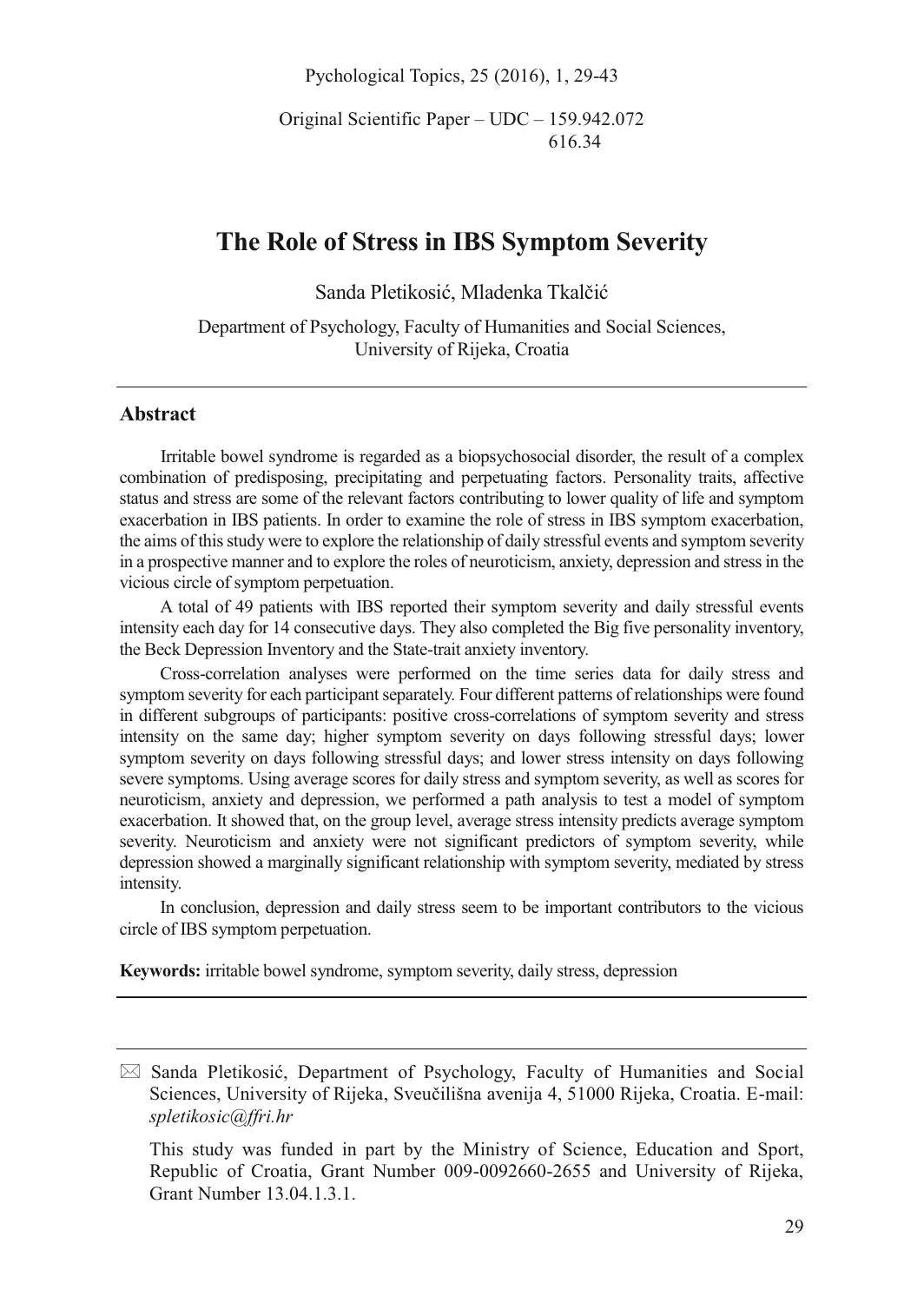Pychological Topics, 25 (2016), 1, 29-43

Original Scientific Paper – UDC – 159.942.072 616.34

# **The Role of Stress in IBS Symptom Severity**

Sanda Pletikosić, Mladenka Tkalčić

Department of Psychology, Faculty of Humanities and Social Sciences, University of Rijeka, Croatia

## **Abstract**

Irritable bowel syndrome is regarded as a biopsychosocial disorder, the result of a complex combination of predisposing, precipitating and perpetuating factors. Personality traits, affective status and stress are some of the relevant factors contributing to lower quality of life and symptom exacerbation in IBS patients. In order to examine the role of stress in IBS symptom exacerbation, the aims of this study were to explore the relationship of daily stressful events and symptom severity in a prospective manner and to explore the roles of neuroticism, anxiety, depression and stress in the vicious circle of symptom perpetuation.

A total of 49 patients with IBS reported their symptom severity and daily stressful events intensity each day for 14 consecutive days. They also completed the Big five personality inventory, the Beck Depression Inventory and the State-trait anxiety inventory.

Cross-correlation analyses were performed on the time series data for daily stress and symptom severity for each participant separately. Four different patterns of relationships were found in different subgroups of participants: positive cross-correlations of symptom severity and stress intensity on the same day; higher symptom severity on days following stressful days; lower symptom severity on days following stressful days; and lower stress intensity on days following severe symptoms. Using average scores for daily stress and symptom severity, as well as scores for neuroticism, anxiety and depression, we performed a path analysis to test a model of symptom exacerbation. It showed that, on the group level, average stress intensity predicts average symptom severity. Neuroticism and anxiety were not significant predictors of symptom severity, while depression showed a marginally significant relationship with symptom severity, mediated by stress intensity.

In conclusion, depression and daily stress seem to be important contributors to the vicious circle of IBS symptom perpetuation.

**Keywords:** irritable bowel syndrome, symptom severity, daily stress, depression

<sup>-</sup> Sanda Pletikosić, Department of Psychology, Faculty of Humanities and Social Sciences, University of Rijeka, Sveučilišna avenija 4, 51000 Rijeka, Croatia. E-mail: *spletikosic@ffri.hr* 

This study was funded in part by the Ministry of Science, Education and Sport, Republic of Croatia, Grant Number 009-0092660-2655 and University of Rijeka, Grant Number 13.04.1.3.1.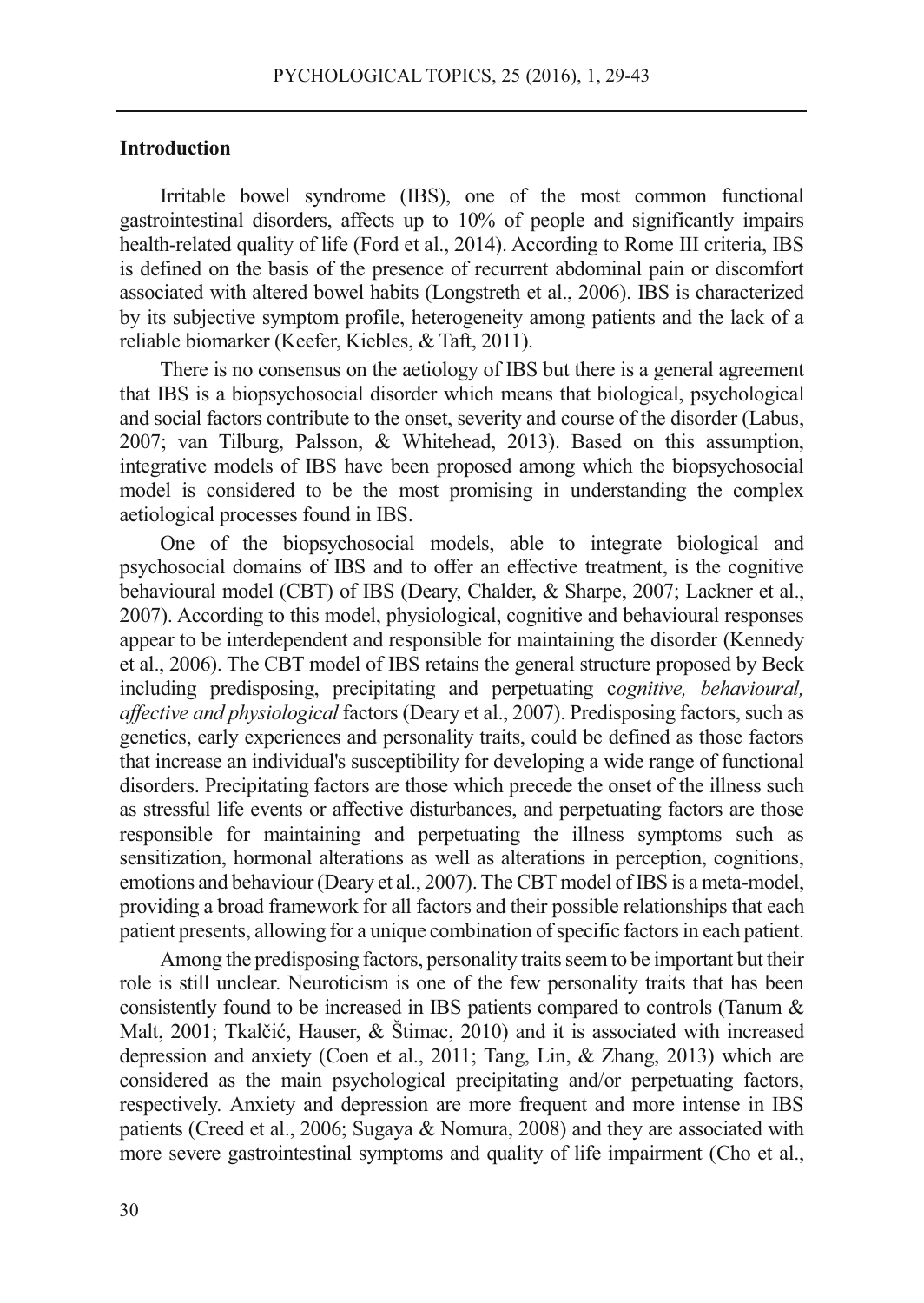## **Introduction**

Irritable bowel syndrome (IBS), one of the most common functional gastrointestinal disorders, affects up to 10% of people and significantly impairs health-related quality of life (Ford et al., 2014). According to Rome III criteria, IBS is defined on the basis of the presence of recurrent abdominal pain or discomfort associated with altered bowel habits (Longstreth et al., 2006). IBS is characterized by its subjective symptom profile, heterogeneity among patients and the lack of a reliable biomarker (Keefer, Kiebles, & Taft, 2011).

There is no consensus on the aetiology of IBS but there is a general agreement that IBS is a biopsychosocial disorder which means that biological, psychological and social factors contribute to the onset, severity and course of the disorder (Labus, 2007; van Tilburg, Palsson, & Whitehead, 2013). Based on this assumption, integrative models of IBS have been proposed among which the biopsychosocial model is considered to be the most promising in understanding the complex aetiological processes found in IBS.

One of the biopsychosocial models, able to integrate biological and psychosocial domains of IBS and to offer an effective treatment, is the cognitive behavioural model (CBT) of IBS (Deary, Chalder, & Sharpe, 2007; Lackner et al., 2007). According to this model, physiological, cognitive and behavioural responses appear to be interdependent and responsible for maintaining the disorder (Kennedy et al., 2006). The CBT model of IBS retains the general structure proposed by Beck including predisposing, precipitating and perpetuating c*ognitive, behavioural, affective and physiological* factors (Deary et al., 2007). Predisposing factors, such as genetics, early experiences and personality traits, could be defined as those factors that increase an individual's susceptibility for developing a wide range of functional disorders. Precipitating factors are those which precede the onset of the illness such as stressful life events or affective disturbances, and perpetuating factors are those responsible for maintaining and perpetuating the illness symptoms such as sensitization, hormonal alterations as well as alterations in perception, cognitions, emotions and behaviour (Deary et al., 2007). The CBT model of IBS is a meta-model, providing a broad framework for all factors and their possible relationships that each patient presents, allowing for a unique combination of specific factors in each patient.

Among the predisposing factors, personality traits seem to be important but their role is still unclear. Neuroticism is one of the few personality traits that has been consistently found to be increased in IBS patients compared to controls (Tanum & Malt, 2001; Tkalčić, Hauser, & Štimac, 2010) and it is associated with increased depression and anxiety (Coen et al., 2011; Tang, Lin, & Zhang, 2013) which are considered as the main psychological precipitating and/or perpetuating factors, respectively. Anxiety and depression are more frequent and more intense in IBS patients (Creed et al., 2006; Sugaya & Nomura, 2008) and they are associated with more severe gastrointestinal symptoms and quality of life impairment (Cho et al.,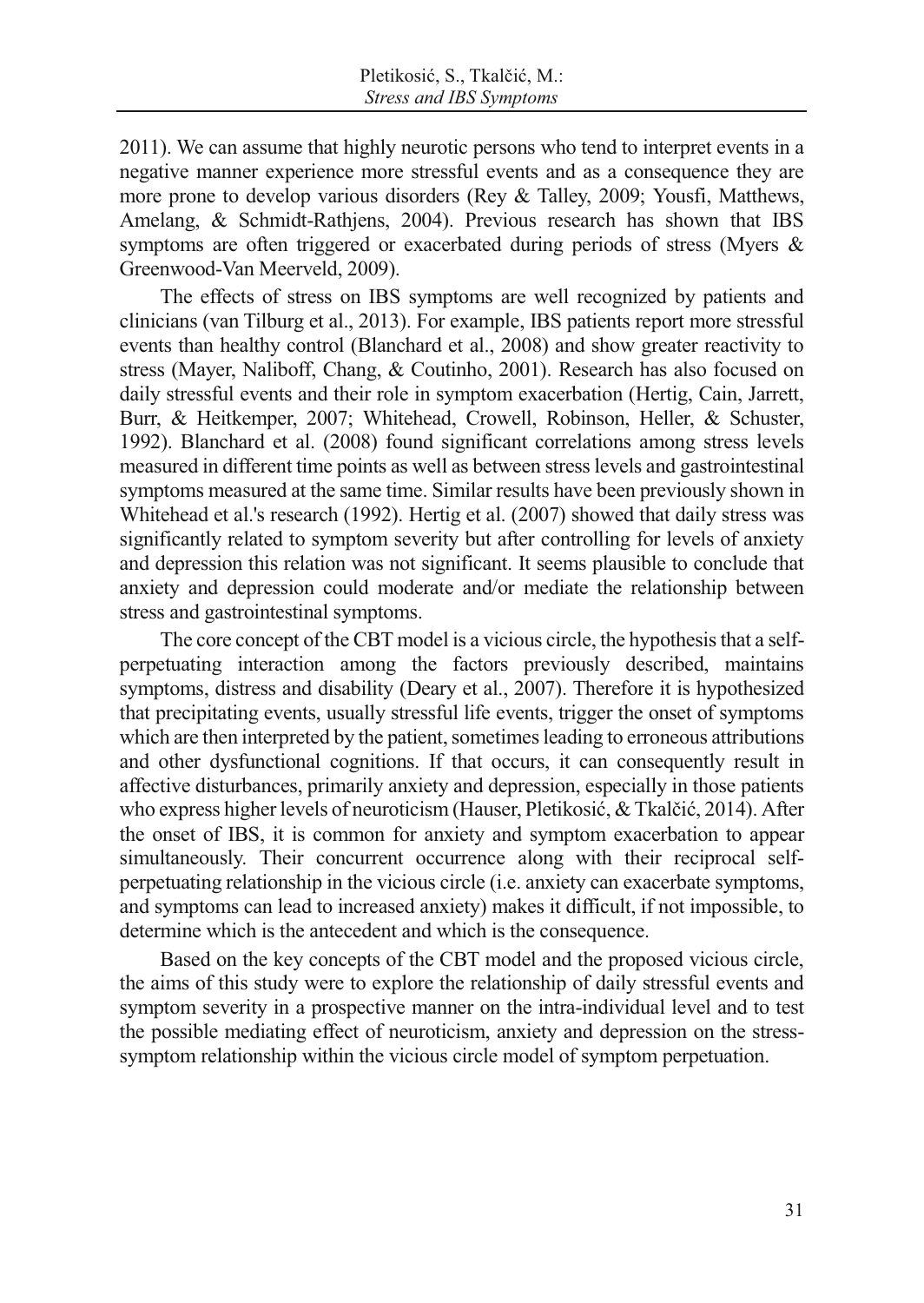2011). We can assume that highly neurotic persons who tend to interpret events in a negative manner experience more stressful events and as a consequence they are more prone to develop various disorders (Rey & Talley, 2009; Yousfi, Matthews, Amelang, & Schmidt-Rathjens, 2004). Previous research has shown that IBS symptoms are often triggered or exacerbated during periods of stress (Myers & Greenwood-Van Meerveld, 2009).

The effects of stress on IBS symptoms are well recognized by patients and clinicians (van Tilburg et al., 2013). For example, IBS patients report more stressful events than healthy control (Blanchard et al., 2008) and show greater reactivity to stress (Mayer, Naliboff, Chang, & Coutinho, 2001). Research has also focused on daily stressful events and their role in symptom exacerbation (Hertig, Cain, Jarrett, Burr, & Heitkemper, 2007; Whitehead, Crowell, Robinson, Heller, & Schuster, 1992). Blanchard et al. (2008) found significant correlations among stress levels measured in different time points as well as between stress levels and gastrointestinal symptoms measured at the same time. Similar results have been previously shown in Whitehead et al.'s research (1992). Hertig et al. (2007) showed that daily stress was significantly related to symptom severity but after controlling for levels of anxiety and depression this relation was not significant. It seems plausible to conclude that anxiety and depression could moderate and/or mediate the relationship between stress and gastrointestinal symptoms.

The core concept of the CBT model is a vicious circle, the hypothesis that a selfperpetuating interaction among the factors previously described, maintains symptoms, distress and disability (Deary et al., 2007). Therefore it is hypothesized that precipitating events, usually stressful life events, trigger the onset of symptoms which are then interpreted by the patient, sometimes leading to erroneous attributions and other dysfunctional cognitions. If that occurs, it can consequently result in affective disturbances, primarily anxiety and depression, especially in those patients who express higher levels of neuroticism (Hauser, Pletikosić, & Tkalčić, 2014). After the onset of IBS, it is common for anxiety and symptom exacerbation to appear simultaneously. Their concurrent occurrence along with their reciprocal selfperpetuating relationship in the vicious circle (i.e. anxiety can exacerbate symptoms, and symptoms can lead to increased anxiety) makes it difficult, if not impossible, to determine which is the antecedent and which is the consequence.

Based on the key concepts of the CBT model and the proposed vicious circle, the aims of this study were to explore the relationship of daily stressful events and symptom severity in a prospective manner on the intra-individual level and to test the possible mediating effect of neuroticism, anxiety and depression on the stresssymptom relationship within the vicious circle model of symptom perpetuation.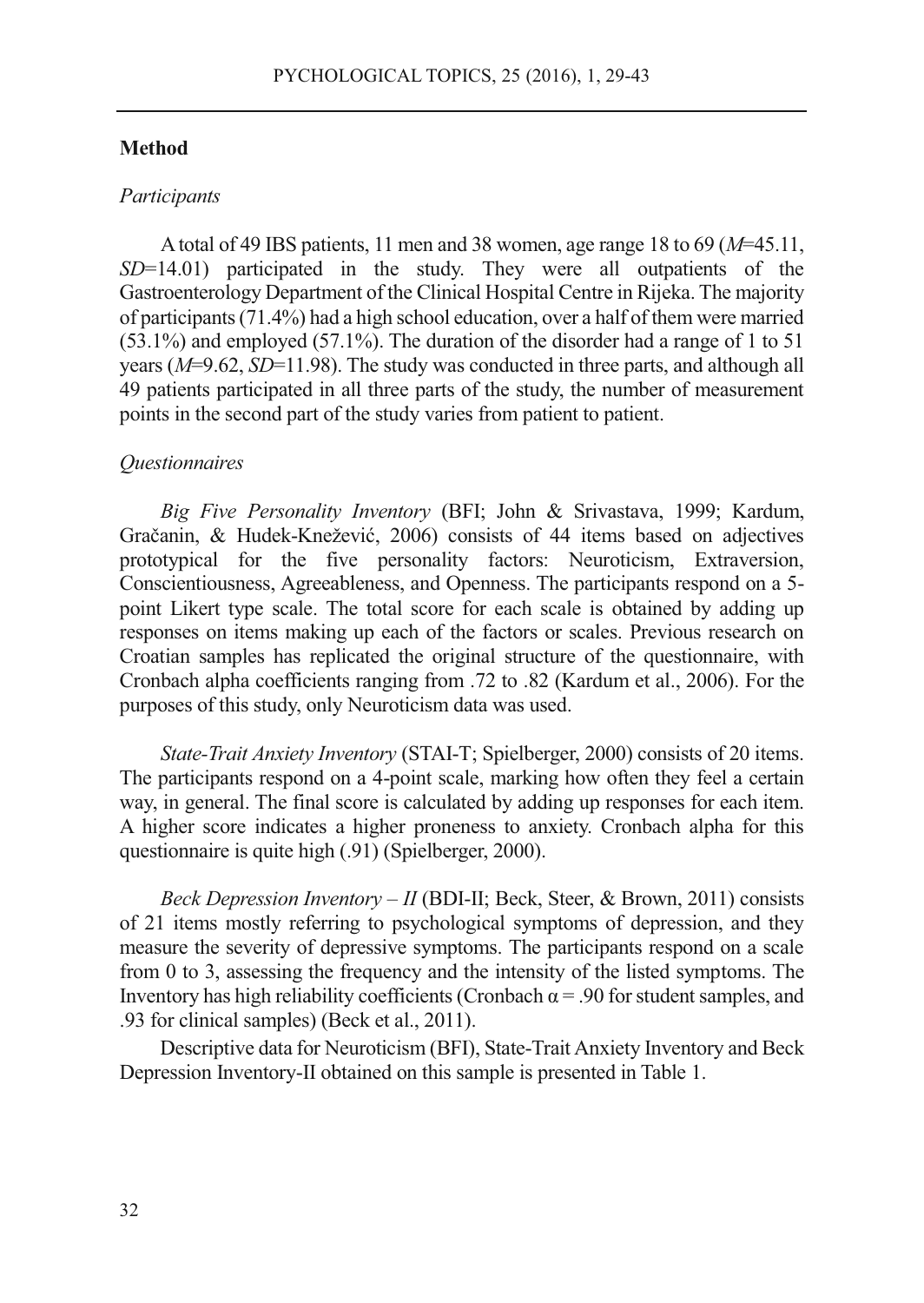#### **Method**

#### *Participants*

A total of 49 IBS patients, 11 men and 38 women, age range 18 to 69 (*M*=45.11, *SD*=14.01) participated in the study. They were all outpatients of the Gastroenterology Department of the Clinical Hospital Centre in Rijeka. The majority of participants (71.4%) had a high school education, over a half of them were married (53.1%) and employed (57.1%). The duration of the disorder had a range of 1 to 51 years (*M*=9.62, *SD*=11.98). The study was conducted in three parts, and although all 49 patients participated in all three parts of the study, the number of measurement points in the second part of the study varies from patient to patient.

#### *Questionnaires*

*Big Five Personality Inventory* (BFI; John & Srivastava, 1999; Kardum, Gračanin, & Hudek-Knežević, 2006) consists of 44 items based on adjectives prototypical for the five personality factors: Neuroticism, Extraversion, Conscientiousness, Agreeableness, and Openness. The participants respond on a 5 point Likert type scale. The total score for each scale is obtained by adding up responses on items making up each of the factors or scales. Previous research on Croatian samples has replicated the original structure of the questionnaire, with Cronbach alpha coefficients ranging from .72 to .82 (Kardum et al., 2006). For the purposes of this study, only Neuroticism data was used.

*State-Trait Anxiety Inventory* (STAI-T; Spielberger, 2000) consists of 20 items. The participants respond on a 4-point scale, marking how often they feel a certain way, in general. The final score is calculated by adding up responses for each item. A higher score indicates a higher proneness to anxiety. Cronbach alpha for this questionnaire is quite high (.91) (Spielberger, 2000).

*Beck Depression Inventory – II* (BDI-II; Beck, Steer, & Brown, 2011) consists of 21 items mostly referring to psychological symptoms of depression, and they measure the severity of depressive symptoms. The participants respond on a scale from 0 to 3, assessing the frequency and the intensity of the listed symptoms. The Inventory has high reliability coefficients (Cronbach  $\alpha$  = .90 for student samples, and .93 for clinical samples) (Beck et al., 2011).

Descriptive data for Neuroticism (BFI), State-Trait Anxiety Inventory and Beck Depression Inventory-II obtained on this sample is presented in Table 1.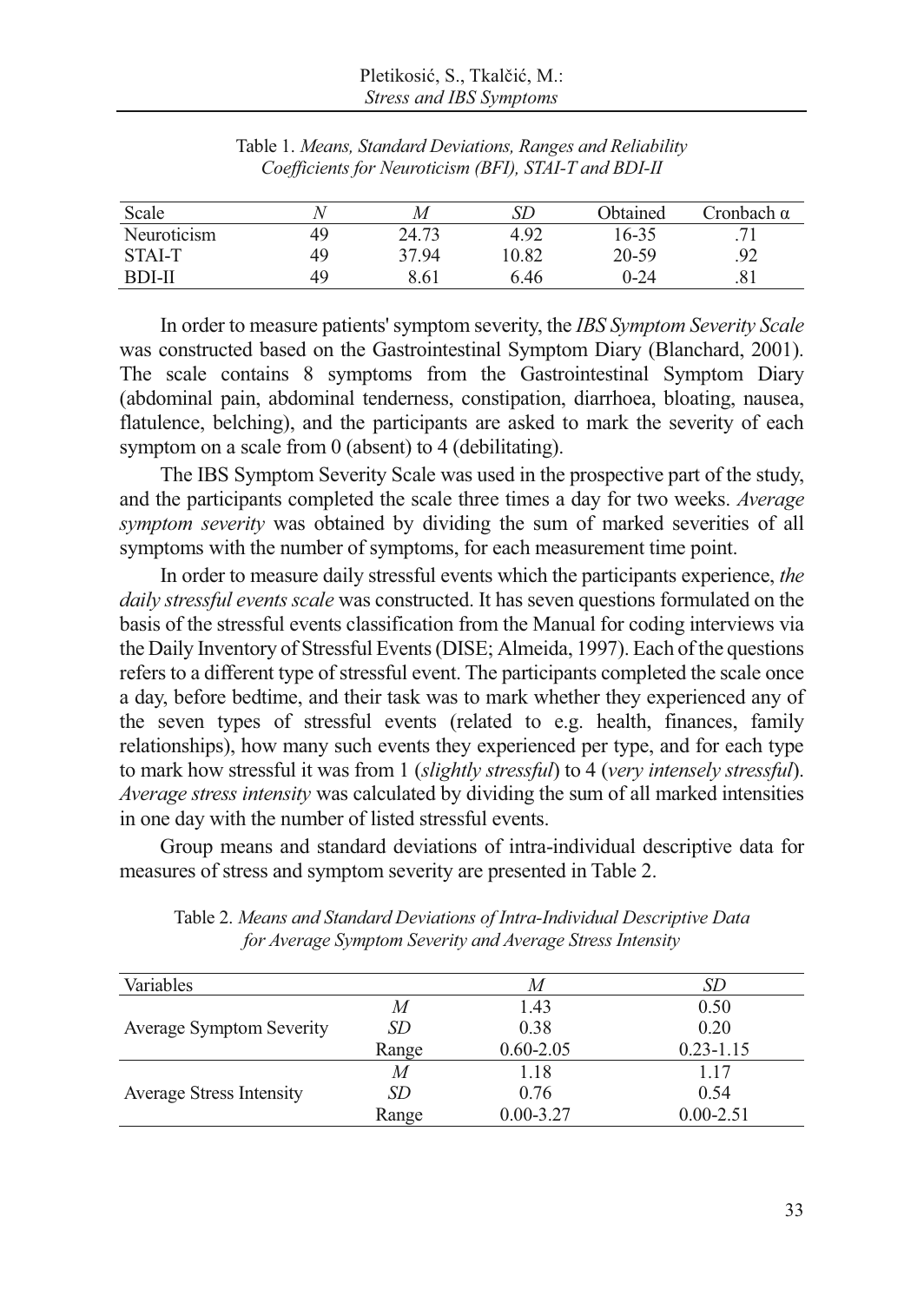| Scale             | ν  | M     | SD    | Obtained | Cronbach α |
|-------------------|----|-------|-------|----------|------------|
| Neuroticism       | 49 | 24.73 | 4.92  | 16-35    |            |
| STAL <sub>T</sub> | 49 | 37.94 | 10.82 | 20-59    | .92        |
| <b>BDI-II</b>     | 49 | 8.61  | 6.46  | $0 - 24$ | .81        |

Table 1. *Means, Standard Deviations, Ranges and Reliability Coefficients for Neuroticism (BFI), STAI-T and BDI-II* 

In order to measure patients' symptom severity, the *IBS Symptom Severity Scale* was constructed based on the Gastrointestinal Symptom Diary (Blanchard, 2001). The scale contains 8 symptoms from the Gastrointestinal Symptom Diary (abdominal pain, abdominal tenderness, constipation, diarrhoea, bloating, nausea, flatulence, belching), and the participants are asked to mark the severity of each symptom on a scale from 0 (absent) to 4 (debilitating).

The IBS Symptom Severity Scale was used in the prospective part of the study, and the participants completed the scale three times a day for two weeks. *Average symptom severity* was obtained by dividing the sum of marked severities of all symptoms with the number of symptoms, for each measurement time point.

In order to measure daily stressful events which the participants experience, *the daily stressful events scale* was constructed. It has seven questions formulated on the basis of the stressful events classification from the Manual for coding interviews via the Daily Inventory of Stressful Events (DISE; Almeida, 1997). Each of the questions refers to a different type of stressful event. The participants completed the scale once a day, before bedtime, and their task was to mark whether they experienced any of the seven types of stressful events (related to e.g. health, finances, family relationships), how many such events they experienced per type, and for each type to mark how stressful it was from 1 (*slightly stressful*) to 4 (*very intensely stressful*). *Average stress intensity* was calculated by dividing the sum of all marked intensities in one day with the number of listed stressful events.

Group means and standard deviations of intra-individual descriptive data for measures of stress and symptom severity are presented in Table 2.

| Variables                       |           | M             | SD            |
|---------------------------------|-----------|---------------|---------------|
|                                 | M         | 1.43          | 0.50          |
| <b>Average Symptom Severity</b> | <i>SD</i> | 0.38          | 0.20          |
|                                 | Range     | $0.60 - 2.05$ | $0.23 - 1.15$ |
|                                 | M         | 1.18          | 1.17          |
| <b>Average Stress Intensity</b> | <i>SD</i> | 0.76          | 0.54          |
|                                 | Range     | $0.00 - 3.27$ | $0.00 - 2.51$ |

Table 2. *Means and Standard Deviations of Intra-Individual Descriptive Data for Average Symptom Severity and Average Stress Intensity*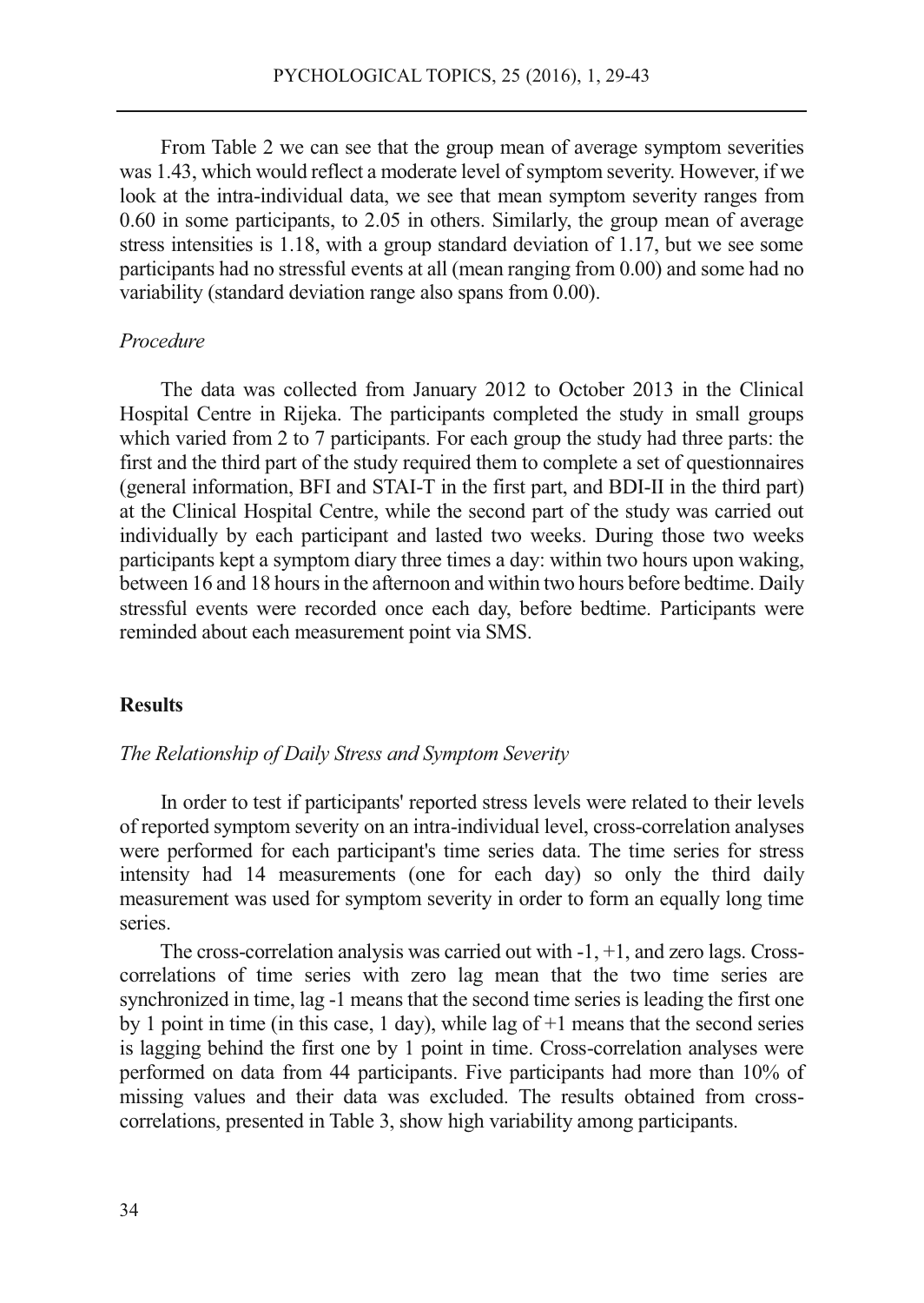From Table 2 we can see that the group mean of average symptom severities was 1.43, which would reflect a moderate level of symptom severity. However, if we look at the intra-individual data, we see that mean symptom severity ranges from 0.60 in some participants, to 2.05 in others. Similarly, the group mean of average stress intensities is 1.18, with a group standard deviation of 1.17, but we see some participants had no stressful events at all (mean ranging from 0.00) and some had no variability (standard deviation range also spans from 0.00).

## *Procedure*

The data was collected from January 2012 to October 2013 in the Clinical Hospital Centre in Rijeka. The participants completed the study in small groups which varied from 2 to 7 participants. For each group the study had three parts: the first and the third part of the study required them to complete a set of questionnaires (general information, BFI and STAI-T in the first part, and BDI-II in the third part) at the Clinical Hospital Centre, while the second part of the study was carried out individually by each participant and lasted two weeks. During those two weeks participants kept a symptom diary three times a day: within two hours upon waking, between 16 and 18 hours in the afternoon and within two hours before bedtime. Daily stressful events were recorded once each day, before bedtime. Participants were reminded about each measurement point via SMS.

#### **Results**

## *The Relationship of Daily Stress and Symptom Severity*

In order to test if participants' reported stress levels were related to their levels of reported symptom severity on an intra-individual level, cross-correlation analyses were performed for each participant's time series data. The time series for stress intensity had 14 measurements (one for each day) so only the third daily measurement was used for symptom severity in order to form an equally long time series.

The cross-correlation analysis was carried out with -1, +1, and zero lags. Crosscorrelations of time series with zero lag mean that the two time series are synchronized in time, lag -1 means that the second time series is leading the first one by 1 point in time (in this case, 1 day), while lag of +1 means that the second series is lagging behind the first one by 1 point in time. Cross-correlation analyses were performed on data from 44 participants. Five participants had more than 10% of missing values and their data was excluded. The results obtained from crosscorrelations, presented in Table 3, show high variability among participants.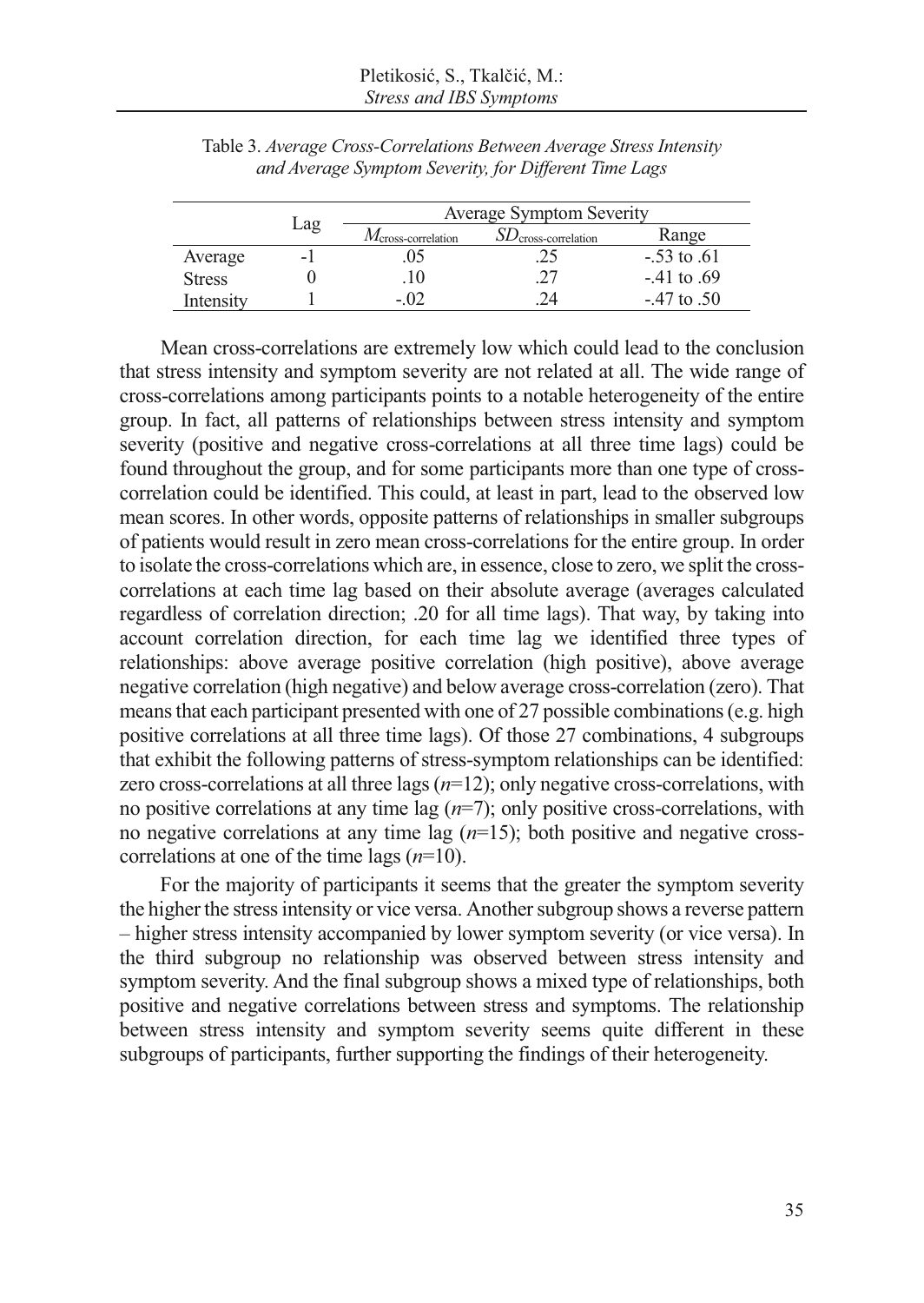|               |     | <b>Average Symptom Severity</b> |                                   |                 |  |
|---------------|-----|---------------------------------|-----------------------------------|-----------------|--|
|               | Lag | $M_{\text{cross-correlation}}$  | $SD$ <sub>cross-correlation</sub> | Range           |  |
| Average       |     |                                 | .25                               | $-.53$ to $.61$ |  |
| <b>Stress</b> |     |                                 | 27                                | $-41$ to .69    |  |
| Intensitv     |     |                                 |                                   | $-47$ to $.50$  |  |

Table 3. *Average Cross-Correlations Between Average Stress Intensity and Average Symptom Severity, for Different Time Lags* 

Mean cross-correlations are extremely low which could lead to the conclusion that stress intensity and symptom severity are not related at all. The wide range of cross-correlations among participants points to a notable heterogeneity of the entire group. In fact, all patterns of relationships between stress intensity and symptom severity (positive and negative cross-correlations at all three time lags) could be found throughout the group, and for some participants more than one type of crosscorrelation could be identified. This could, at least in part, lead to the observed low mean scores. In other words, opposite patterns of relationships in smaller subgroups of patients would result in zero mean cross-correlations for the entire group. In order to isolate the cross-correlations which are, in essence, close to zero, we split the crosscorrelations at each time lag based on their absolute average (averages calculated regardless of correlation direction; .20 for all time lags). That way, by taking into account correlation direction, for each time lag we identified three types of relationships: above average positive correlation (high positive), above average negative correlation (high negative) and below average cross-correlation (zero). That means that each participant presented with one of 27 possible combinations (e.g. high positive correlations at all three time lags). Of those 27 combinations, 4 subgroups that exhibit the following patterns of stress-symptom relationships can be identified: zero cross-correlations at all three lags (*n*=12); only negative cross-correlations, with no positive correlations at any time lag (*n*=7); only positive cross-correlations, with no negative correlations at any time lag (*n*=15); both positive and negative crosscorrelations at one of the time lags (*n*=10).

For the majority of participants it seems that the greater the symptom severity the higher the stress intensity or vice versa. Another subgroup shows a reverse pattern – higher stress intensity accompanied by lower symptom severity (or vice versa). In the third subgroup no relationship was observed between stress intensity and symptom severity. And the final subgroup shows a mixed type of relationships, both positive and negative correlations between stress and symptoms. The relationship between stress intensity and symptom severity seems quite different in these subgroups of participants, further supporting the findings of their heterogeneity.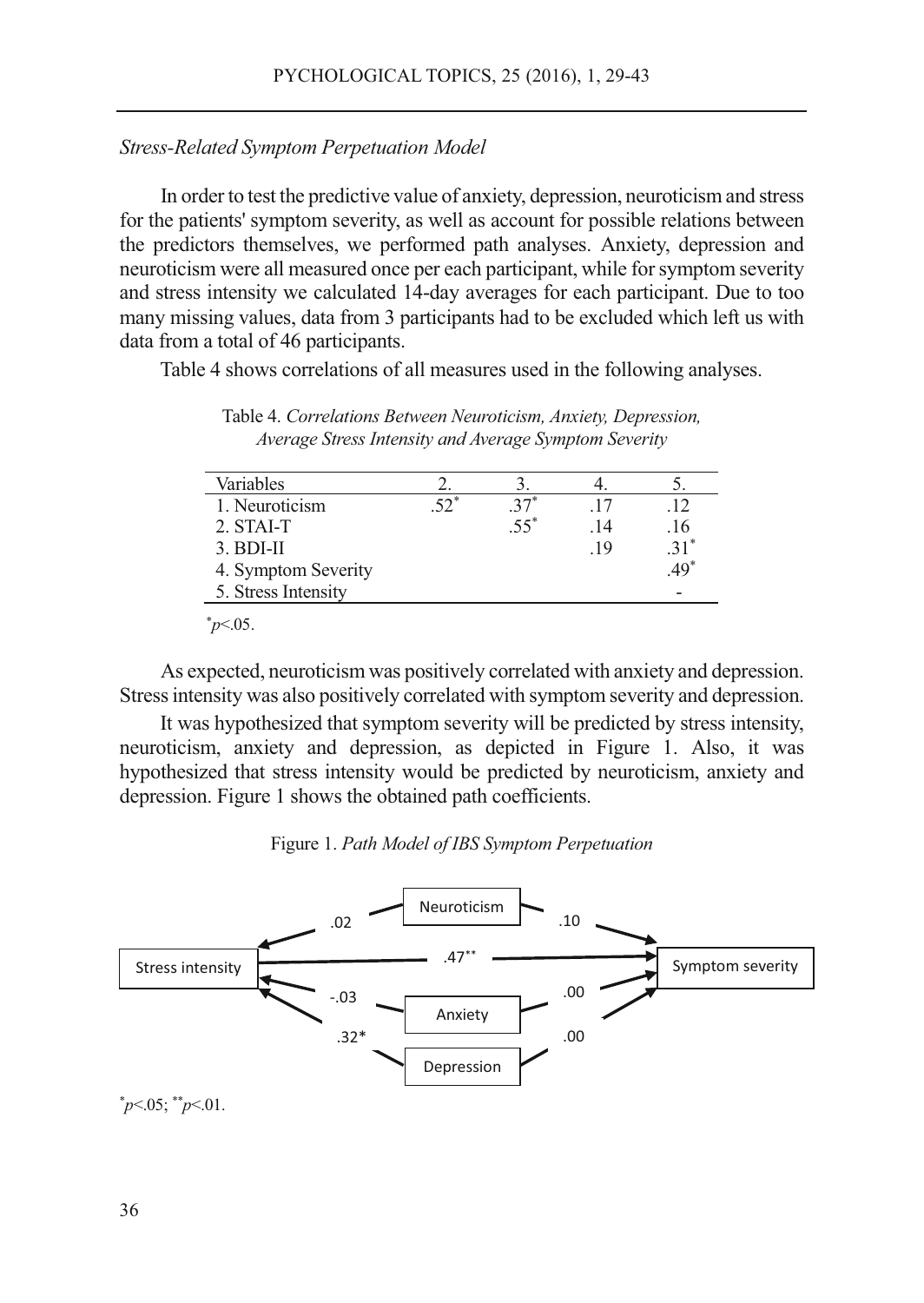# *Stress-Related Symptom Perpetuation Model*

In order to test the predictive value of anxiety, depression, neuroticism and stress for the patients' symptom severity, as well as account for possible relations between the predictors themselves, we performed path analyses. Anxiety, depression and neuroticism were all measured once per each participant, while for symptom severity and stress intensity we calculated 14-day averages for each participant. Due to too many missing values, data from 3 participants had to be excluded which left us with data from a total of 46 participants.

Table 4 shows correlations of all measures used in the following analyses.

Table 4. *Correlations Between Neuroticism, Anxiety, Depression, Average Stress Intensity and Average Symptom Severity* 

| Variables           |     |        |      |        |
|---------------------|-----|--------|------|--------|
| 1. Neuroticism      | <ク* |        | -17  | 12     |
| 2. STAI-T           |     | $.55*$ | . 14 | .16    |
| $3.$ BDI-II         |     |        | .19  | $.31*$ |
| 4. Symptom Severity |     |        |      | $.49*$ |
| 5. Stress Intensity |     |        |      |        |

 $p<.05$ .

As expected, neuroticism was positively correlated with anxiety and depression. Stress intensity was also positively correlated with symptom severity and depression.

It was hypothesized that symptom severity will be predicted by stress intensity, neuroticism, anxiety and depression, as depicted in Figure 1. Also, it was hypothesized that stress intensity would be predicted by neuroticism, anxiety and depression. Figure 1 shows the obtained path coefficients.



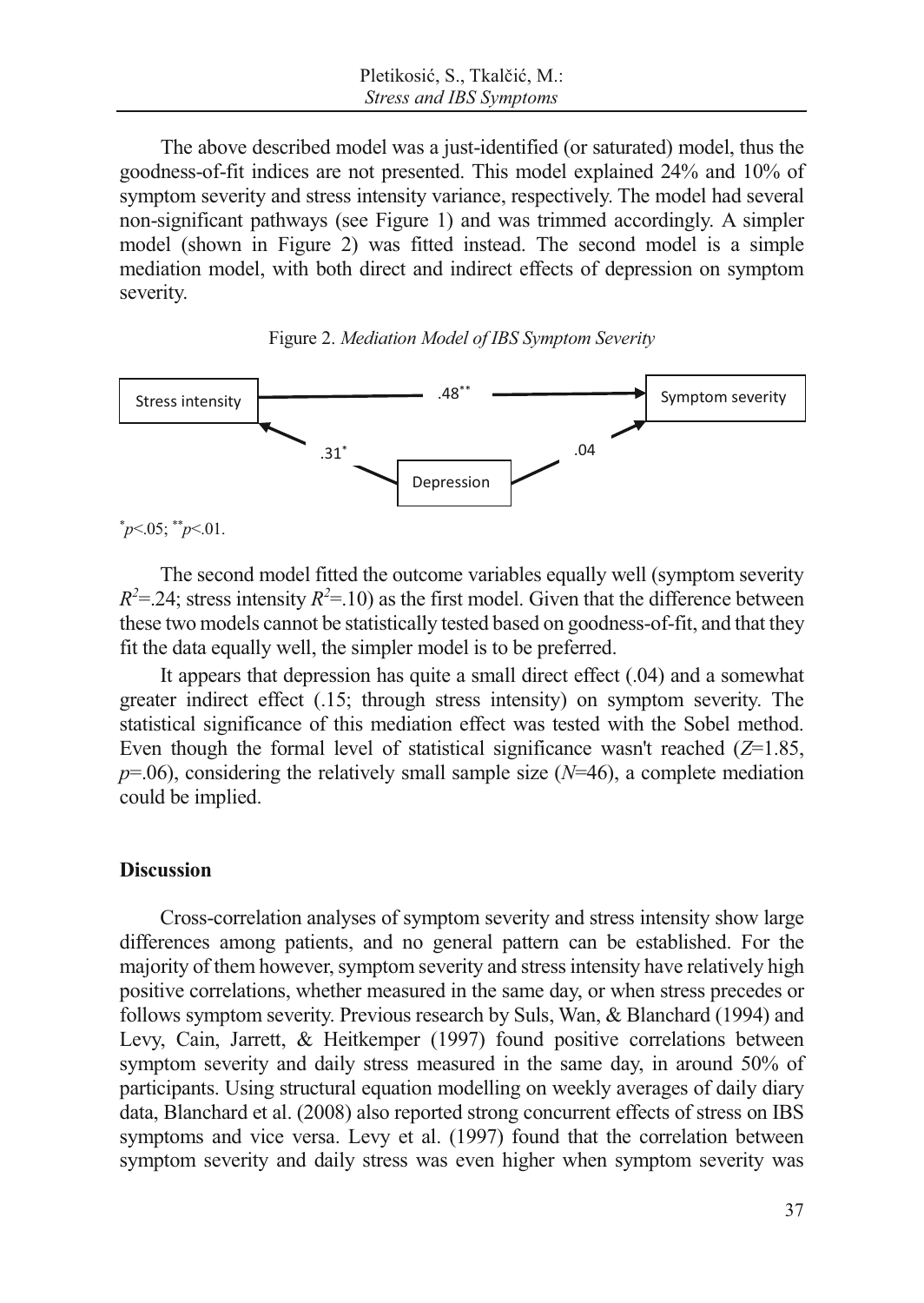The above described model was a just-identified (or saturated) model, thus the goodness-of-fit indices are not presented. This model explained 24% and 10% of symptom severity and stress intensity variance, respectively. The model had several non-significant pathways (see Figure 1) and was trimmed accordingly. A simpler model (shown in Figure 2) was fitted instead. The second model is a simple mediation model, with both direct and indirect effects of depression on symptom severity.





\* *p*<.05; \*\**p*<.01.

The second model fitted the outcome variables equally well (symptom severity  $R^2 = 24$ ; stress intensity  $R^2 = 10$ ) as the first model. Given that the difference between these two models cannot be statistically tested based on goodness-of-fit, and that they fit the data equally well, the simpler model is to be preferred.

It appears that depression has quite a small direct effect (.04) and a somewhat greater indirect effect (.15; through stress intensity) on symptom severity. The statistical significance of this mediation effect was tested with the Sobel method. Even though the formal level of statistical significance wasn't reached (*Z*=1.85,  $p=0.06$ , considering the relatively small sample size ( $N=46$ ), a complete mediation could be implied.

## **Discussion**

Cross-correlation analyses of symptom severity and stress intensity show large differences among patients, and no general pattern can be established. For the majority of them however, symptom severity and stress intensity have relatively high positive correlations, whether measured in the same day, or when stress precedes or follows symptom severity. Previous research by Suls, Wan, & Blanchard (1994) and Levy, Cain, Jarrett, & Heitkemper (1997) found positive correlations between symptom severity and daily stress measured in the same day, in around 50% of participants. Using structural equation modelling on weekly averages of daily diary data, Blanchard et al. (2008) also reported strong concurrent effects of stress on IBS symptoms and vice versa. Levy et al. (1997) found that the correlation between symptom severity and daily stress was even higher when symptom severity was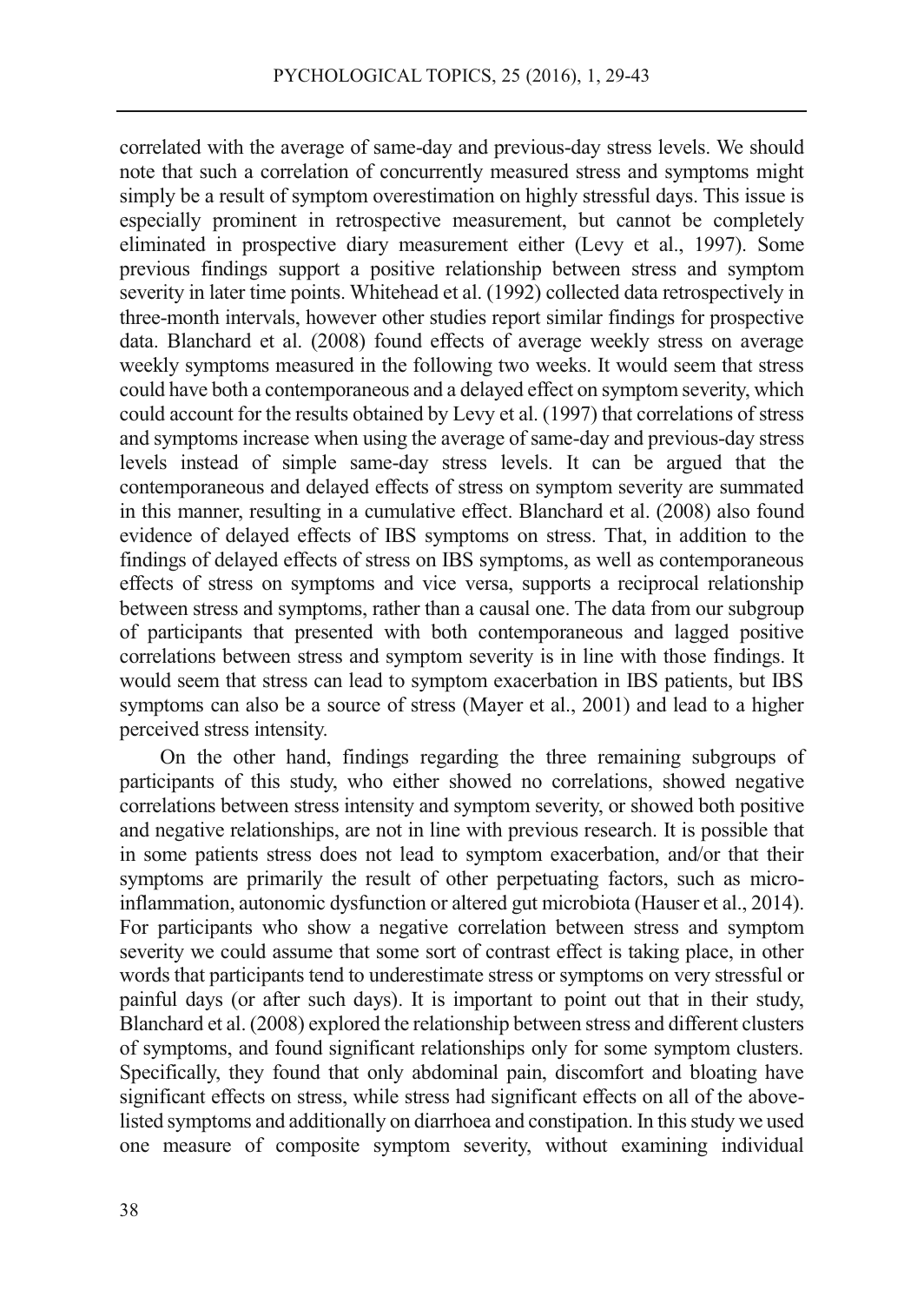correlated with the average of same-day and previous-day stress levels. We should note that such a correlation of concurrently measured stress and symptoms might simply be a result of symptom overestimation on highly stressful days. This issue is especially prominent in retrospective measurement, but cannot be completely eliminated in prospective diary measurement either (Levy et al., 1997). Some previous findings support a positive relationship between stress and symptom severity in later time points. Whitehead et al. (1992) collected data retrospectively in three-month intervals, however other studies report similar findings for prospective data. Blanchard et al. (2008) found effects of average weekly stress on average weekly symptoms measured in the following two weeks. It would seem that stress could have both a contemporaneous and a delayed effect on symptom severity, which could account for the results obtained by Levy et al. (1997) that correlations of stress and symptoms increase when using the average of same-day and previous-day stress levels instead of simple same-day stress levels. It can be argued that the contemporaneous and delayed effects of stress on symptom severity are summated in this manner, resulting in a cumulative effect. Blanchard et al. (2008) also found evidence of delayed effects of IBS symptoms on stress. That, in addition to the findings of delayed effects of stress on IBS symptoms, as well as contemporaneous effects of stress on symptoms and vice versa, supports a reciprocal relationship between stress and symptoms, rather than a causal one. The data from our subgroup of participants that presented with both contemporaneous and lagged positive correlations between stress and symptom severity is in line with those findings. It would seem that stress can lead to symptom exacerbation in IBS patients, but IBS symptoms can also be a source of stress (Mayer et al., 2001) and lead to a higher perceived stress intensity.

On the other hand, findings regarding the three remaining subgroups of participants of this study, who either showed no correlations, showed negative correlations between stress intensity and symptom severity, or showed both positive and negative relationships, are not in line with previous research. It is possible that in some patients stress does not lead to symptom exacerbation, and/or that their symptoms are primarily the result of other perpetuating factors, such as microinflammation, autonomic dysfunction or altered gut microbiota (Hauser et al., 2014). For participants who show a negative correlation between stress and symptom severity we could assume that some sort of contrast effect is taking place, in other words that participants tend to underestimate stress or symptoms on very stressful or painful days (or after such days). It is important to point out that in their study, Blanchard et al. (2008) explored the relationship between stress and different clusters of symptoms, and found significant relationships only for some symptom clusters. Specifically, they found that only abdominal pain, discomfort and bloating have significant effects on stress, while stress had significant effects on all of the abovelisted symptoms and additionally on diarrhoea and constipation. In this study we used one measure of composite symptom severity, without examining individual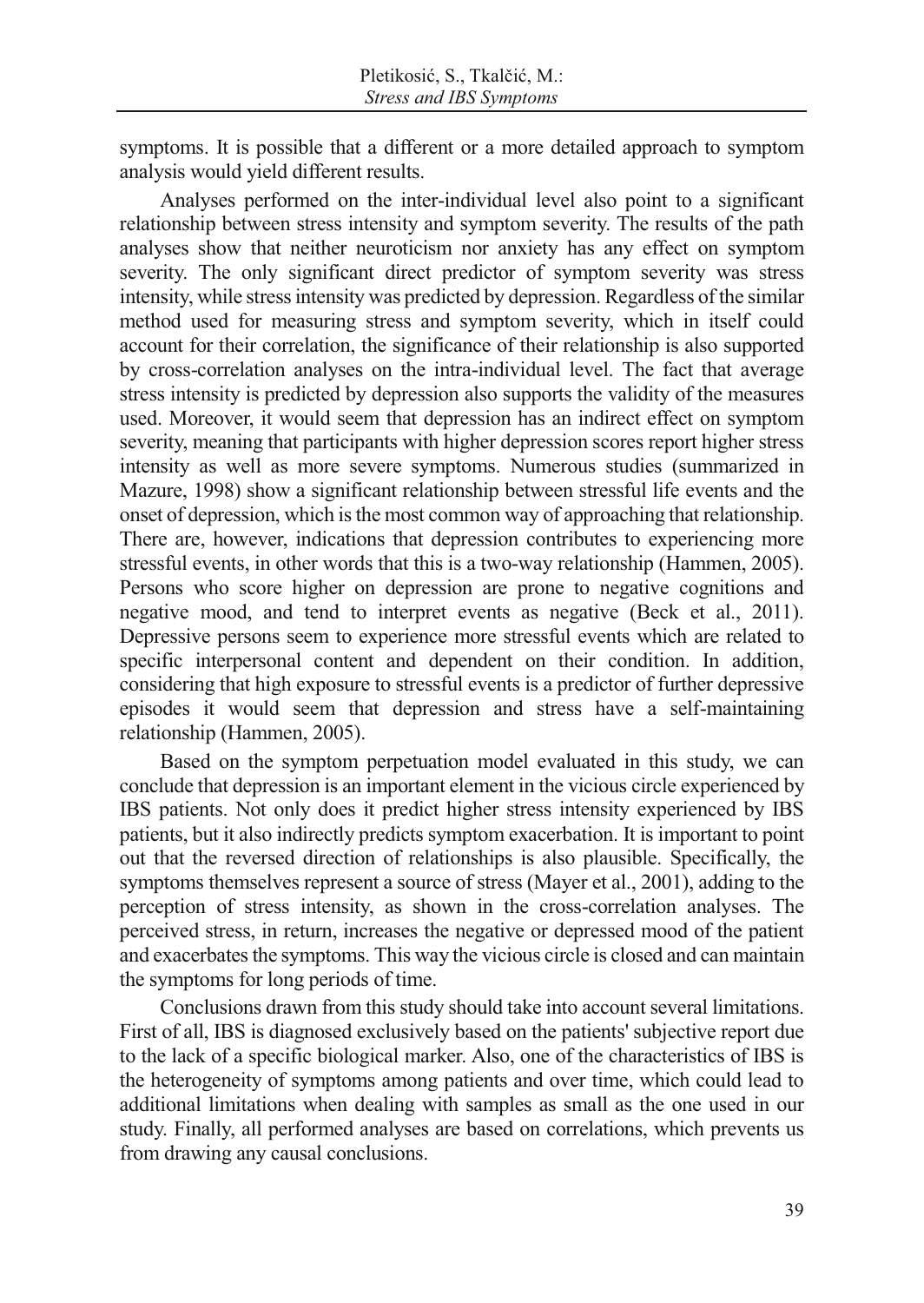symptoms. It is possible that a different or a more detailed approach to symptom analysis would yield different results.

Analyses performed on the inter-individual level also point to a significant relationship between stress intensity and symptom severity. The results of the path analyses show that neither neuroticism nor anxiety has any effect on symptom severity. The only significant direct predictor of symptom severity was stress intensity, while stress intensity was predicted by depression. Regardless of the similar method used for measuring stress and symptom severity, which in itself could account for their correlation, the significance of their relationship is also supported by cross-correlation analyses on the intra-individual level. The fact that average stress intensity is predicted by depression also supports the validity of the measures used. Moreover, it would seem that depression has an indirect effect on symptom severity, meaning that participants with higher depression scores report higher stress intensity as well as more severe symptoms. Numerous studies (summarized in Mazure, 1998) show a significant relationship between stressful life events and the onset of depression, which is the most common way of approaching that relationship. There are, however, indications that depression contributes to experiencing more stressful events, in other words that this is a two-way relationship (Hammen, 2005). Persons who score higher on depression are prone to negative cognitions and negative mood, and tend to interpret events as negative (Beck et al., 2011). Depressive persons seem to experience more stressful events which are related to specific interpersonal content and dependent on their condition. In addition, considering that high exposure to stressful events is a predictor of further depressive episodes it would seem that depression and stress have a self-maintaining relationship (Hammen, 2005).

Based on the symptom perpetuation model evaluated in this study, we can conclude that depression is an important element in the vicious circle experienced by IBS patients. Not only does it predict higher stress intensity experienced by IBS patients, but it also indirectly predicts symptom exacerbation. It is important to point out that the reversed direction of relationships is also plausible. Specifically, the symptoms themselves represent a source of stress (Mayer et al., 2001), adding to the perception of stress intensity, as shown in the cross-correlation analyses. The perceived stress, in return, increases the negative or depressed mood of the patient and exacerbates the symptoms. This way the vicious circle is closed and can maintain the symptoms for long periods of time.

Conclusions drawn from this study should take into account several limitations. First of all, IBS is diagnosed exclusively based on the patients' subjective report due to the lack of a specific biological marker. Also, one of the characteristics of IBS is the heterogeneity of symptoms among patients and over time, which could lead to additional limitations when dealing with samples as small as the one used in our study. Finally, all performed analyses are based on correlations, which prevents us from drawing any causal conclusions.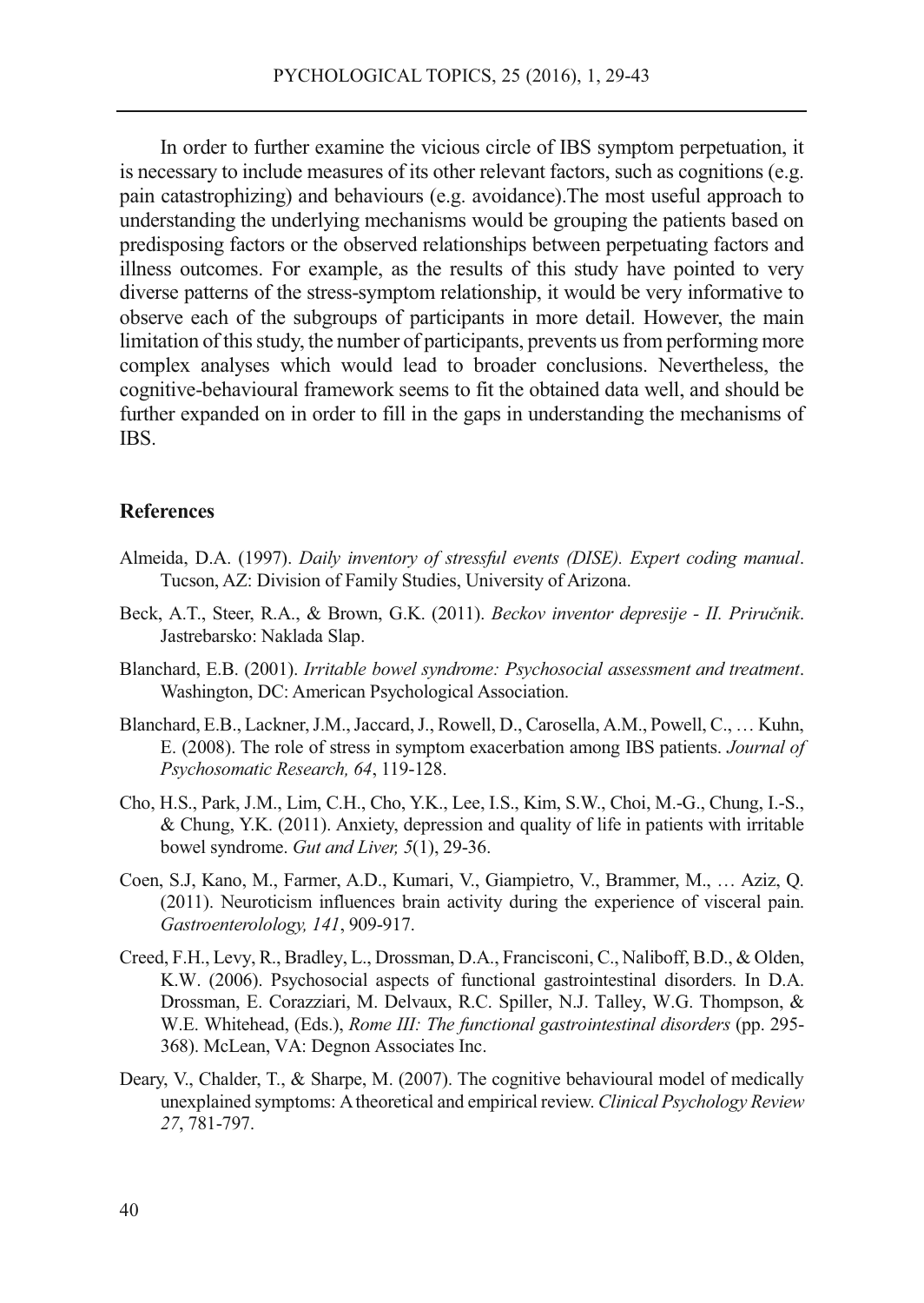In order to further examine the vicious circle of IBS symptom perpetuation, it is necessary to include measures of its other relevant factors, such as cognitions (e.g. pain catastrophizing) and behaviours (e.g. avoidance).The most useful approach to understanding the underlying mechanisms would be grouping the patients based on predisposing factors or the observed relationships between perpetuating factors and illness outcomes. For example, as the results of this study have pointed to very diverse patterns of the stress-symptom relationship, it would be very informative to observe each of the subgroups of participants in more detail. However, the main limitation of this study, the number of participants, prevents us from performing more complex analyses which would lead to broader conclusions. Nevertheless, the cognitive-behavioural framework seems to fit the obtained data well, and should be further expanded on in order to fill in the gaps in understanding the mechanisms of IBS.

#### **References**

- Almeida, D.A. (1997). *Daily inventory of stressful events (DISE). Expert coding manual*. Tucson, AZ: Division of Family Studies, University of Arizona.
- Beck, A.T., Steer, R.A., & Brown, G.K. (2011). *Beckov inventor depresije II. Priručnik*. Jastrebarsko: Naklada Slap.
- Blanchard, E.B. (2001). *Irritable bowel syndrome: Psychosocial assessment and treatment*. Washington, DC: American Psychological Association.
- Blanchard, E.B., Lackner, J.M., Jaccard, J., Rowell, D., Carosella, A.M., Powell, C., … Kuhn, E. (2008). The role of stress in symptom exacerbation among IBS patients. *Journal of Psychosomatic Research, 64*, 119-128.
- Cho, H.S., Park, J.M., Lim, C.H., Cho, Y.K., Lee, I.S., Kim, S.W., Choi, M.-G., Chung, I.-S., & Chung, Y.K. (2011). Anxiety, depression and quality of life in patients with irritable bowel syndrome. *Gut and Liver, 5*(1), 29-36.
- Coen, S.J, Kano, M., Farmer, A.D., Kumari, V., Giampietro, V., Brammer, M., … Aziz, Q. (2011). Neuroticism influences brain activity during the experience of visceral pain. *Gastroenterolology, 141*, 909-917.
- Creed, F.H., Levy, R., Bradley, L., Drossman, D.A., Francisconi, C., Naliboff, B.D., & Olden, K.W. (2006). Psychosocial aspects of functional gastrointestinal disorders. In D.A. Drossman, E. Corazziari, M. Delvaux, R.C. Spiller, N.J. Talley, W.G. Thompson, & W.E. Whitehead, (Eds.), *Rome III: The functional gastrointestinal disorders* (pp. 295- 368). McLean, VA: Degnon Associates Inc.
- Deary, V., Chalder, T., & Sharpe, M. (2007). The cognitive behavioural model of medically unexplained symptoms: A theoretical and empirical review. *Clinical Psychology Review 27*, 781-797.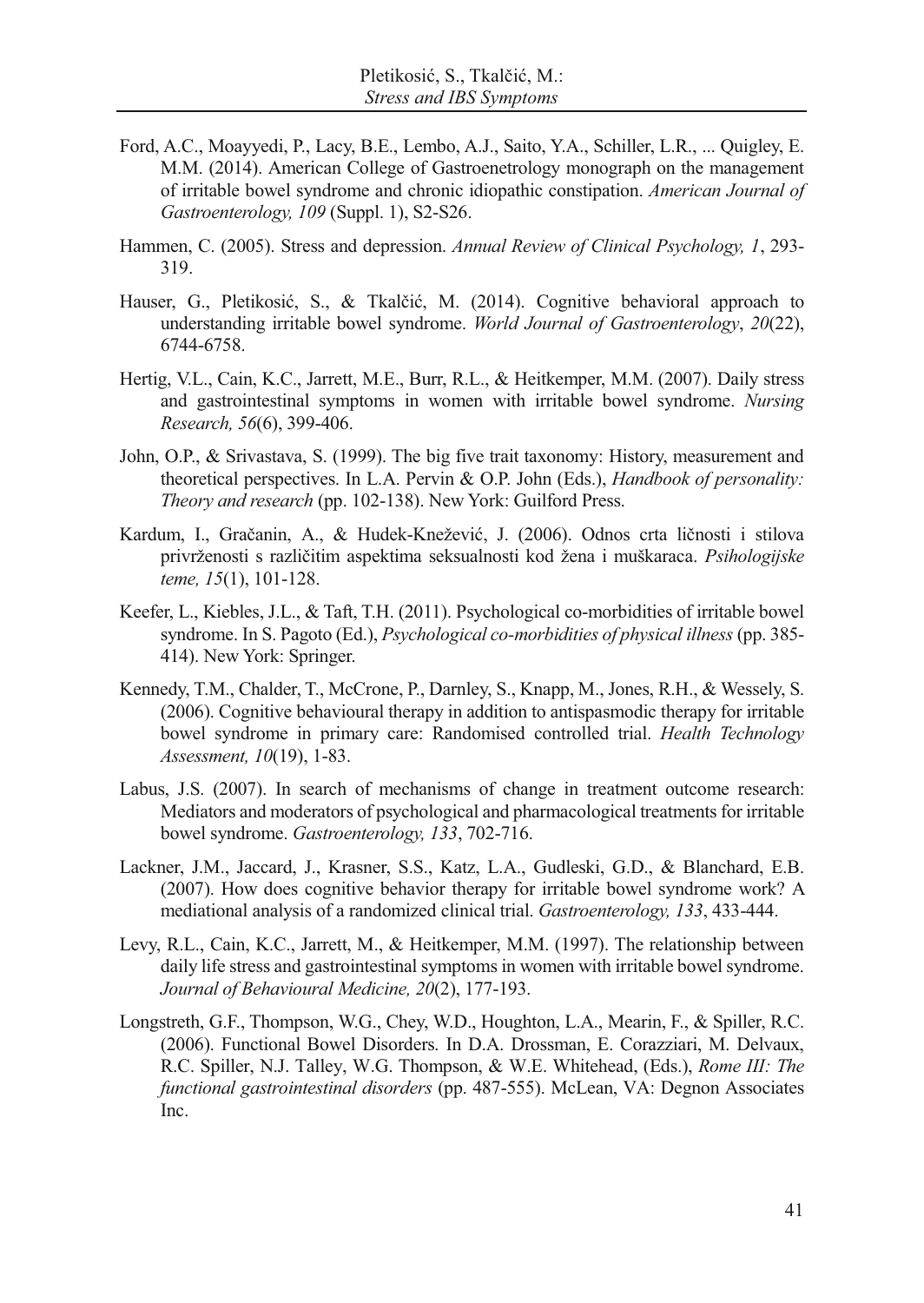- Ford, A.C., Moayyedi, P., Lacy, B.E., Lembo, A.J., Saito, Y.A., Schiller, L.R., ... Quigley, E. M.M. (2014). American College of Gastroenetrology monograph on the management of irritable bowel syndrome and chronic idiopathic constipation. *American Journal of Gastroenterology, 109* (Suppl. 1), S2-S26.
- Hammen, C. (2005). Stress and depression. *Annual Review of Clinical Psychology, 1*, 293- 319.
- Hauser, G., Pletikosić, S., & Tkalčić, M. (2014). Cognitive behavioral approach to understanding irritable bowel syndrome. *World Journal of Gastroenterology*, *20*(22), 6744-6758.
- Hertig, V.L., Cain, K.C., Jarrett, M.E., Burr, R.L., & Heitkemper, M.M. (2007). Daily stress and gastrointestinal symptoms in women with irritable bowel syndrome. *Nursing Research, 56*(6), 399-406.
- John, O.P., & Srivastava, S. (1999). The big five trait taxonomy: History, measurement and theoretical perspectives. In L.A. Pervin & O.P. John (Eds.), *Handbook of personality: Theory and research* (pp. 102-138). New York: Guilford Press.
- Kardum, I., Gračanin, A., & Hudek-Knežević, J. (2006). Odnos crta ličnosti i stilova privrženosti s različitim aspektima seksualnosti kod žena i muškaraca. *Psihologijske teme, 15*(1), 101-128.
- Keefer, L., Kiebles, J.L., & Taft, T.H. (2011). Psychological co-morbidities of irritable bowel syndrome. In S. Pagoto (Ed.), *Psychological co-morbidities of physical illness* (pp. 385- 414). New York: Springer.
- Kennedy, T.M., Chalder, T., McCrone, P., Darnley, S., Knapp, M., Jones, R.H., & Wessely, S. (2006). Cognitive behavioural therapy in addition to antispasmodic therapy for irritable bowel syndrome in primary care: Randomised controlled trial. *Health Technology Assessment, 10*(19), 1-83.
- Labus, J.S. (2007). In search of mechanisms of change in treatment outcome research: Mediators and moderators of psychological and pharmacological treatments for irritable bowel syndrome. *Gastroenterology, 133*, 702-716.
- Lackner, J.M., Jaccard, J., Krasner, S.S., Katz, L.A., Gudleski, G.D., & Blanchard, E.B. (2007). How does cognitive behavior therapy for irritable bowel syndrome work? A mediational analysis of a randomized clinical trial. *Gastroenterology, 133*, 433-444.
- Levy, R.L., Cain, K.C., Jarrett, M., & Heitkemper, M.M. (1997). The relationship between daily life stress and gastrointestinal symptoms in women with irritable bowel syndrome. *Journal of Behavioural Medicine, 20*(2), 177-193.
- Longstreth, G.F., Thompson, W.G., Chey, W.D., Houghton, L.A., Mearin, F., & Spiller, R.C. (2006). Functional Bowel Disorders. In D.A. Drossman, E. Corazziari, M. Delvaux, R.C. Spiller, N.J. Talley, W.G. Thompson, & W.E. Whitehead, (Eds.), *Rome III: The functional gastrointestinal disorders* (pp. 487-555). McLean, VA: Degnon Associates Inc.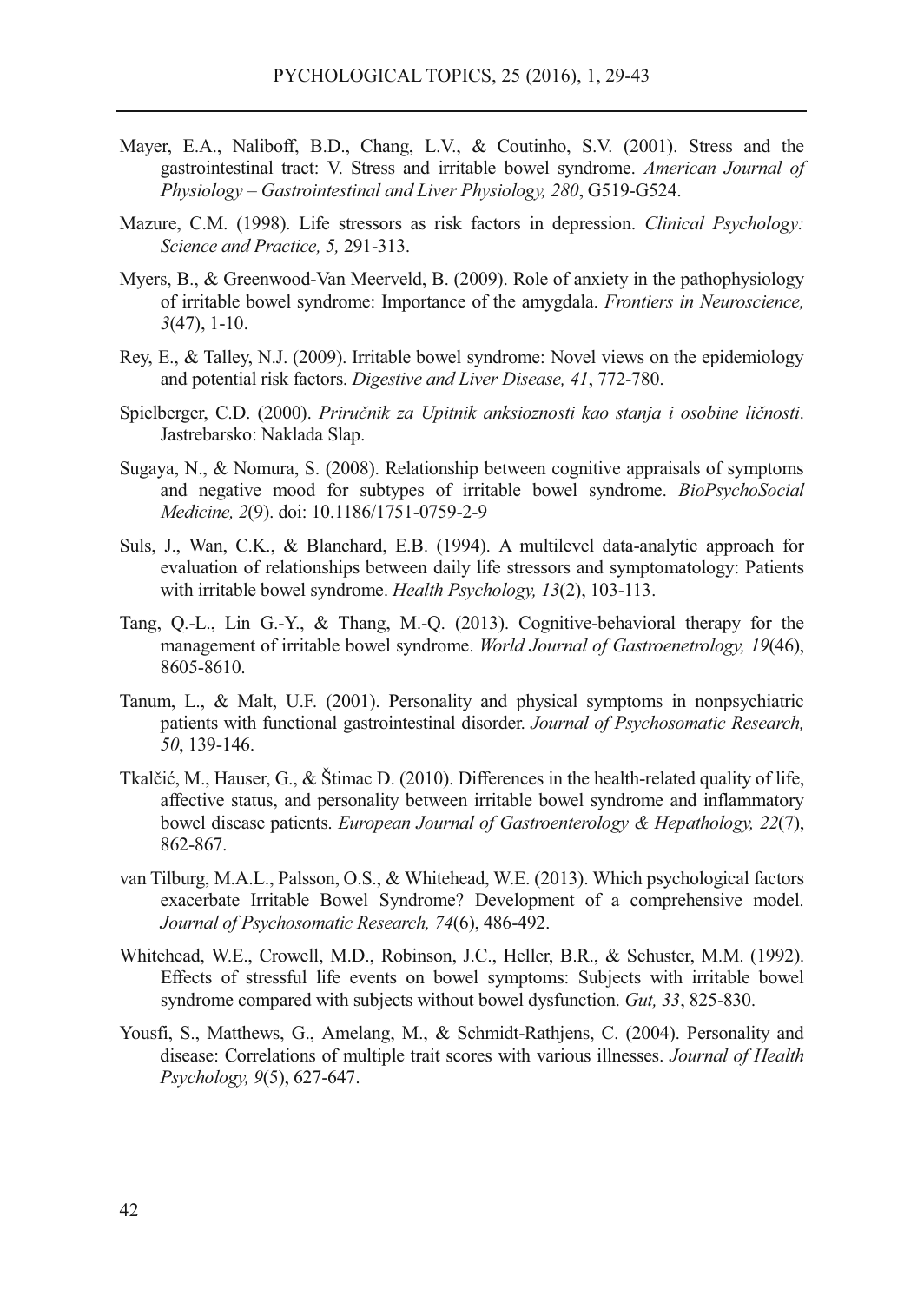- Mayer, E.A., Naliboff, B.D., Chang, L.V., & Coutinho, S.V. (2001). Stress and the gastrointestinal tract: V. Stress and irritable bowel syndrome. *American Journal of Physiology – Gastrointestinal and Liver Physiology, 280*, G519-G524.
- Mazure, C.M. (1998). Life stressors as risk factors in depression. *Clinical Psychology: Science and Practice, 5,* 291-313.
- Myers, B., & Greenwood-Van Meerveld, B. (2009). Role of anxiety in the pathophysiology of irritable bowel syndrome: Importance of the amygdala. *Frontiers in Neuroscience, 3*(47), 1-10.
- Rey, E., & Talley, N.J. (2009). Irritable bowel syndrome: Novel views on the epidemiology and potential risk factors. *Digestive and Liver Disease, 41*, 772-780.
- Spielberger, C.D. (2000). *Priručnik za Upitnik anksioznosti kao stanja i osobine ličnosti*. Jastrebarsko: Naklada Slap.
- Sugaya, N., & Nomura, S. (2008). Relationship between cognitive appraisals of symptoms and negative mood for subtypes of irritable bowel syndrome. *BioPsychoSocial Medicine, 2*(9). doi: 10.1186/1751-0759-2-9
- Suls, J., Wan, C.K., & Blanchard, E.B. (1994). A multilevel data-analytic approach for evaluation of relationships between daily life stressors and symptomatology: Patients with irritable bowel syndrome. *Health Psychology, 13*(2), 103-113.
- Tang, Q.-L., Lin G.-Y., & Thang, M.-Q. (2013). Cognitive-behavioral therapy for the management of irritable bowel syndrome. *World Journal of Gastroenetrology, 19*(46), 8605-8610.
- Tanum, L., & Malt, U.F. (2001). Personality and physical symptoms in nonpsychiatric patients with functional gastrointestinal disorder. *Journal of Psychosomatic Research, 50*, 139-146.
- Tkalčić, M., Hauser, G., & Štimac D. (2010). Differences in the health-related quality of life, affective status, and personality between irritable bowel syndrome and inflammatory bowel disease patients. *European Journal of Gastroenterology & Hepathology, 22*(7), 862-867.
- van Tilburg, M.A.L., Palsson, O.S., & Whitehead, W.E. (2013). Which psychological factors exacerbate Irritable Bowel Syndrome? Development of a comprehensive model. *Journal of Psychosomatic Research, 74*(6), 486-492.
- Whitehead, W.E., Crowell, M.D., Robinson, J.C., Heller, B.R., & Schuster, M.M. (1992). Effects of stressful life events on bowel symptoms: Subjects with irritable bowel syndrome compared with subjects without bowel dysfunction. *Gut, 33*, 825-830.
- Yousfi, S., Matthews, G., Amelang, M., & Schmidt-Rathjens, C. (2004). Personality and disease: Correlations of multiple trait scores with various illnesses. *Journal of Health Psychology, 9*(5), 627-647.